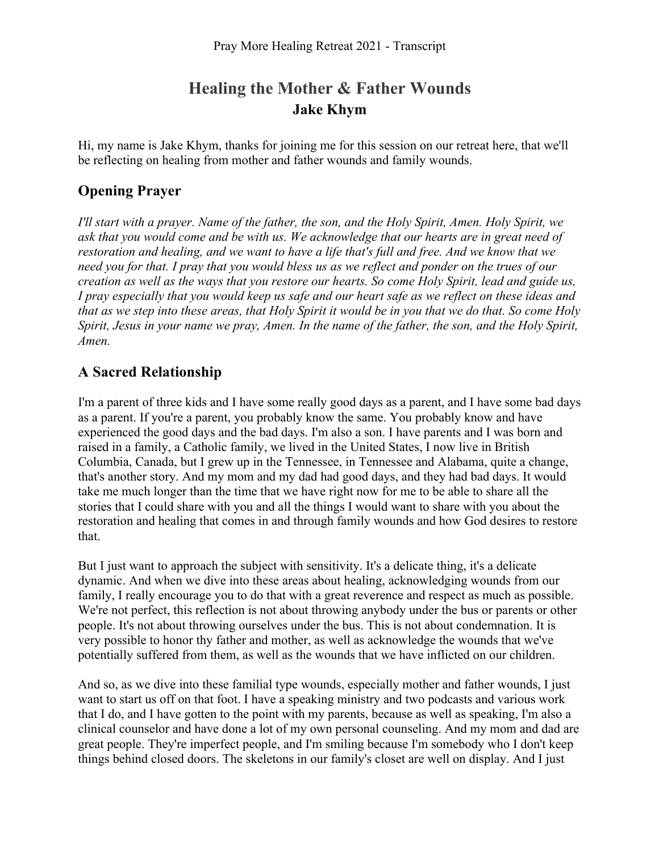# **Healing the Mother & Father Wounds Jake Khym**

Hi, my name is Jake Khym, thanks for joining me for this session on our retreat here, that we'll be reflecting on healing from mother and father wounds and family wounds.

## **Opening Prayer**

*I'll start with a prayer. Name of the father, the son, and the Holy Spirit, Amen. Holy Spirit, we ask that you would come and be with us. We acknowledge that our hearts are in great need of restoration and healing, and we want to have a life that's full and free. And we know that we need you for that. I pray that you would bless us as we reflect and ponder on the trues of our creation as well as the ways that you restore our hearts. So come Holy Spirit, lead and guide us, I pray especially that you would keep us safe and our heart safe as we reflect on these ideas and that as we step into these areas, that Holy Spirit it would be in you that we do that. So come Holy Spirit, Jesus in your name we pray, Amen. In the name of the father, the son, and the Holy Spirit, Amen.* 

## **A Sacred Relationship**

I'm a parent of three kids and I have some really good days as a parent, and I have some bad days as a parent. If you're a parent, you probably know the same. You probably know and have experienced the good days and the bad days. I'm also a son. I have parents and I was born and raised in a family, a Catholic family, we lived in the United States, I now live in British Columbia, Canada, but I grew up in the Tennessee, in Tennessee and Alabama, quite a change, that's another story. And my mom and my dad had good days, and they had bad days. It would take me much longer than the time that we have right now for me to be able to share all the stories that I could share with you and all the things I would want to share with you about the restoration and healing that comes in and through family wounds and how God desires to restore that.

But I just want to approach the subject with sensitivity. It's a delicate thing, it's a delicate dynamic. And when we dive into these areas about healing, acknowledging wounds from our family, I really encourage you to do that with a great reverence and respect as much as possible. We're not perfect, this reflection is not about throwing anybody under the bus or parents or other people. It's not about throwing ourselves under the bus. This is not about condemnation. It is very possible to honor thy father and mother, as well as acknowledge the wounds that we've potentially suffered from them, as well as the wounds that we have inflicted on our children.

And so, as we dive into these familial type wounds, especially mother and father wounds, I just want to start us off on that foot. I have a speaking ministry and two podcasts and various work that I do, and I have gotten to the point with my parents, because as well as speaking, I'm also a clinical counselor and have done a lot of my own personal counseling. And my mom and dad are great people. They're imperfect people, and I'm smiling because I'm somebody who I don't keep things behind closed doors. The skeletons in our family's closet are well on display. And I just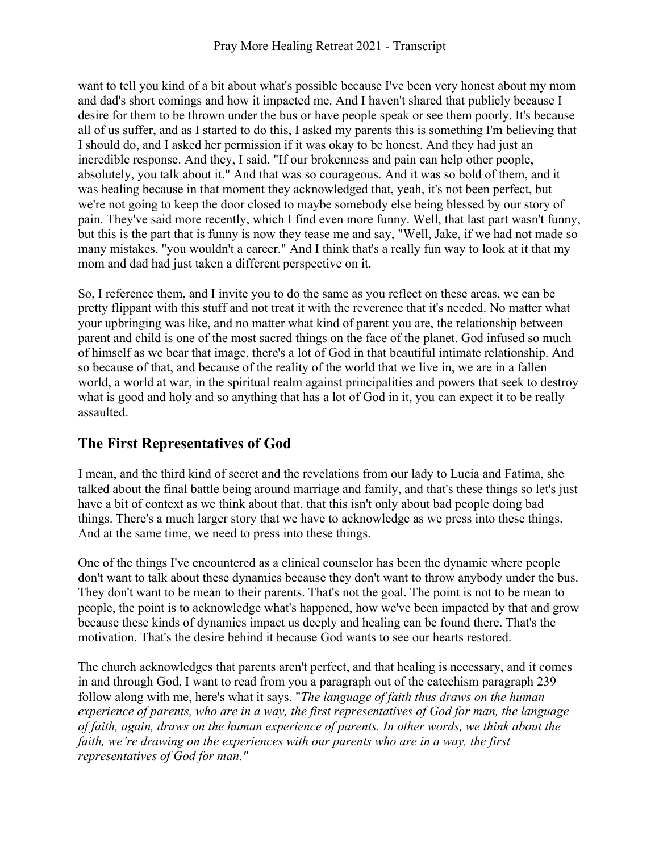want to tell you kind of a bit about what's possible because I've been very honest about my mom and dad's short comings and how it impacted me. And I haven't shared that publicly because I desire for them to be thrown under the bus or have people speak or see them poorly. It's because all of us suffer, and as I started to do this, I asked my parents this is something I'm believing that I should do, and I asked her permission if it was okay to be honest. And they had just an incredible response. And they, I said, "If our brokenness and pain can help other people, absolutely, you talk about it." And that was so courageous. And it was so bold of them, and it was healing because in that moment they acknowledged that, yeah, it's not been perfect, but we're not going to keep the door closed to maybe somebody else being blessed by our story of pain. They've said more recently, which I find even more funny. Well, that last part wasn't funny, but this is the part that is funny is now they tease me and say, "Well, Jake, if we had not made so many mistakes, "you wouldn't a career." And I think that's a really fun way to look at it that my mom and dad had just taken a different perspective on it.

So, I reference them, and I invite you to do the same as you reflect on these areas, we can be pretty flippant with this stuff and not treat it with the reverence that it's needed. No matter what your upbringing was like, and no matter what kind of parent you are, the relationship between parent and child is one of the most sacred things on the face of the planet. God infused so much of himself as we bear that image, there's a lot of God in that beautiful intimate relationship. And so because of that, and because of the reality of the world that we live in, we are in a fallen world, a world at war, in the spiritual realm against principalities and powers that seek to destroy what is good and holy and so anything that has a lot of God in it, you can expect it to be really assaulted.

## **The First Representatives of God**

I mean, and the third kind of secret and the revelations from our lady to Lucia and Fatima, she talked about the final battle being around marriage and family, and that's these things so let's just have a bit of context as we think about that, that this isn't only about bad people doing bad things. There's a much larger story that we have to acknowledge as we press into these things. And at the same time, we need to press into these things.

One of the things I've encountered as a clinical counselor has been the dynamic where people don't want to talk about these dynamics because they don't want to throw anybody under the bus. They don't want to be mean to their parents. That's not the goal. The point is not to be mean to people, the point is to acknowledge what's happened, how we've been impacted by that and grow because these kinds of dynamics impact us deeply and healing can be found there. That's the motivation. That's the desire behind it because God wants to see our hearts restored.

The church acknowledges that parents aren't perfect, and that healing is necessary, and it comes in and through God, I want to read from you a paragraph out of the catechism paragraph 239 follow along with me, here's what it says. "*The language of faith thus draws on the human experience of parents, who are in a way, the first representatives of God for man, the language of faith, again, draws on the human experience of parents. In other words, we think about the faith, we're drawing on the experiences with our parents who are in a way, the first representatives of God for man."*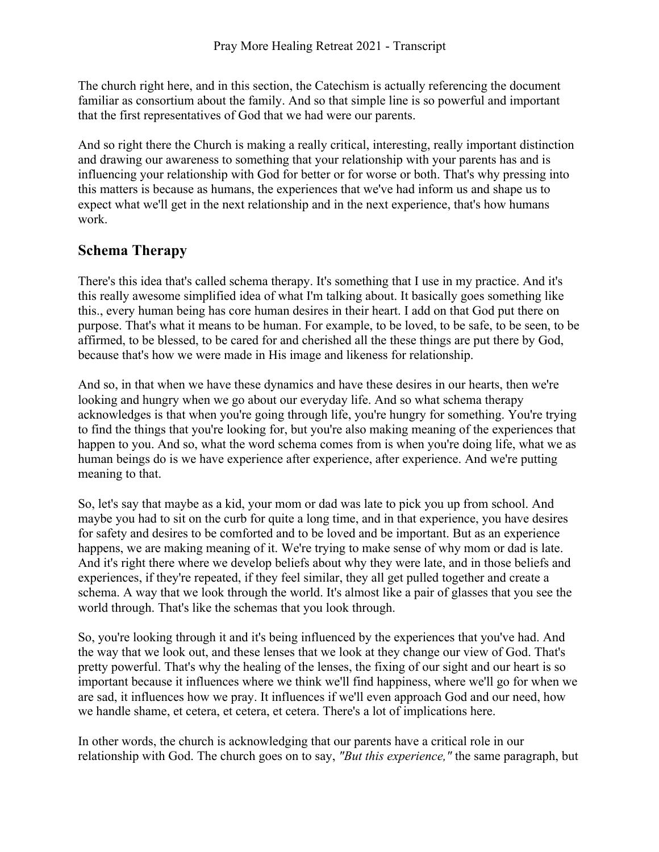The church right here, and in this section, the Catechism is actually referencing the document familiar as consortium about the family. And so that simple line is so powerful and important that the first representatives of God that we had were our parents.

And so right there the Church is making a really critical, interesting, really important distinction and drawing our awareness to something that your relationship with your parents has and is influencing your relationship with God for better or for worse or both. That's why pressing into this matters is because as humans, the experiences that we've had inform us and shape us to expect what we'll get in the next relationship and in the next experience, that's how humans work.

#### **Schema Therapy**

There's this idea that's called schema therapy. It's something that I use in my practice. And it's this really awesome simplified idea of what I'm talking about. It basically goes something like this., every human being has core human desires in their heart. I add on that God put there on purpose. That's what it means to be human. For example, to be loved, to be safe, to be seen, to be affirmed, to be blessed, to be cared for and cherished all the these things are put there by God, because that's how we were made in His image and likeness for relationship.

And so, in that when we have these dynamics and have these desires in our hearts, then we're looking and hungry when we go about our everyday life. And so what schema therapy acknowledges is that when you're going through life, you're hungry for something. You're trying to find the things that you're looking for, but you're also making meaning of the experiences that happen to you. And so, what the word schema comes from is when you're doing life, what we as human beings do is we have experience after experience, after experience. And we're putting meaning to that.

So, let's say that maybe as a kid, your mom or dad was late to pick you up from school. And maybe you had to sit on the curb for quite a long time, and in that experience, you have desires for safety and desires to be comforted and to be loved and be important. But as an experience happens, we are making meaning of it. We're trying to make sense of why mom or dad is late. And it's right there where we develop beliefs about why they were late, and in those beliefs and experiences, if they're repeated, if they feel similar, they all get pulled together and create a schema. A way that we look through the world. It's almost like a pair of glasses that you see the world through. That's like the schemas that you look through.

So, you're looking through it and it's being influenced by the experiences that you've had. And the way that we look out, and these lenses that we look at they change our view of God. That's pretty powerful. That's why the healing of the lenses, the fixing of our sight and our heart is so important because it influences where we think we'll find happiness, where we'll go for when we are sad, it influences how we pray. It influences if we'll even approach God and our need, how we handle shame, et cetera, et cetera, et cetera. There's a lot of implications here.

In other words, the church is acknowledging that our parents have a critical role in our relationship with God. The church goes on to say, *"But this experience,"* the same paragraph, but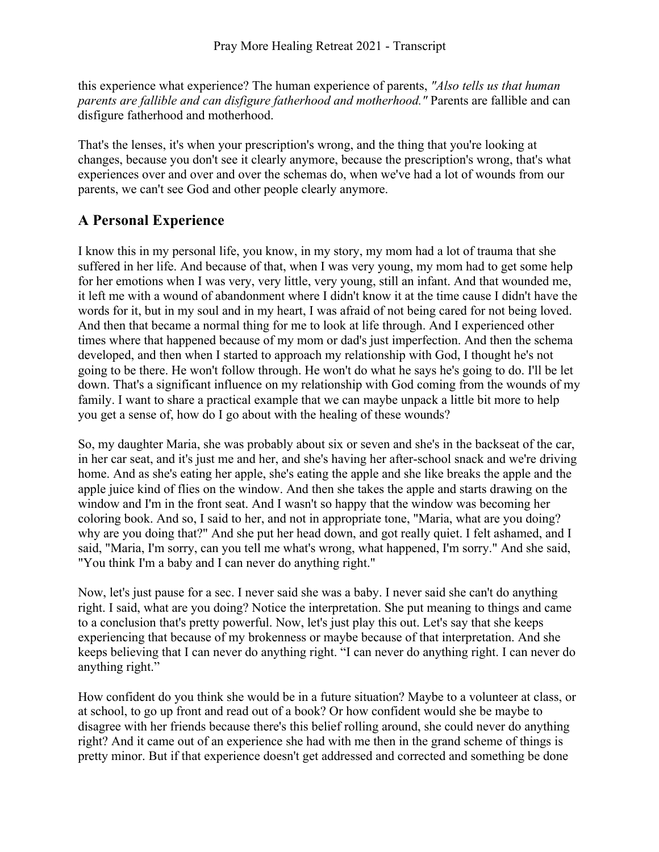this experience what experience? The human experience of parents, *"Also tells us that human parents are fallible and can disfigure fatherhood and motherhood."* Parents are fallible and can disfigure fatherhood and motherhood.

That's the lenses, it's when your prescription's wrong, and the thing that you're looking at changes, because you don't see it clearly anymore, because the prescription's wrong, that's what experiences over and over and over the schemas do, when we've had a lot of wounds from our parents, we can't see God and other people clearly anymore.

#### **A Personal Experience**

I know this in my personal life, you know, in my story, my mom had a lot of trauma that she suffered in her life. And because of that, when I was very young, my mom had to get some help for her emotions when I was very, very little, very young, still an infant. And that wounded me, it left me with a wound of abandonment where I didn't know it at the time cause I didn't have the words for it, but in my soul and in my heart, I was afraid of not being cared for not being loved. And then that became a normal thing for me to look at life through. And I experienced other times where that happened because of my mom or dad's just imperfection. And then the schema developed, and then when I started to approach my relationship with God, I thought he's not going to be there. He won't follow through. He won't do what he says he's going to do. I'll be let down. That's a significant influence on my relationship with God coming from the wounds of my family. I want to share a practical example that we can maybe unpack a little bit more to help you get a sense of, how do I go about with the healing of these wounds?

So, my daughter Maria, she was probably about six or seven and she's in the backseat of the car, in her car seat, and it's just me and her, and she's having her after-school snack and we're driving home. And as she's eating her apple, she's eating the apple and she like breaks the apple and the apple juice kind of flies on the window. And then she takes the apple and starts drawing on the window and I'm in the front seat. And I wasn't so happy that the window was becoming her coloring book. And so, I said to her, and not in appropriate tone, "Maria, what are you doing? why are you doing that?" And she put her head down, and got really quiet. I felt ashamed, and I said, "Maria, I'm sorry, can you tell me what's wrong, what happened, I'm sorry." And she said, "You think I'm a baby and I can never do anything right."

Now, let's just pause for a sec. I never said she was a baby. I never said she can't do anything right. I said, what are you doing? Notice the interpretation. She put meaning to things and came to a conclusion that's pretty powerful. Now, let's just play this out. Let's say that she keeps experiencing that because of my brokenness or maybe because of that interpretation. And she keeps believing that I can never do anything right. "I can never do anything right. I can never do anything right."

How confident do you think she would be in a future situation? Maybe to a volunteer at class, or at school, to go up front and read out of a book? Or how confident would she be maybe to disagree with her friends because there's this belief rolling around, she could never do anything right? And it came out of an experience she had with me then in the grand scheme of things is pretty minor. But if that experience doesn't get addressed and corrected and something be done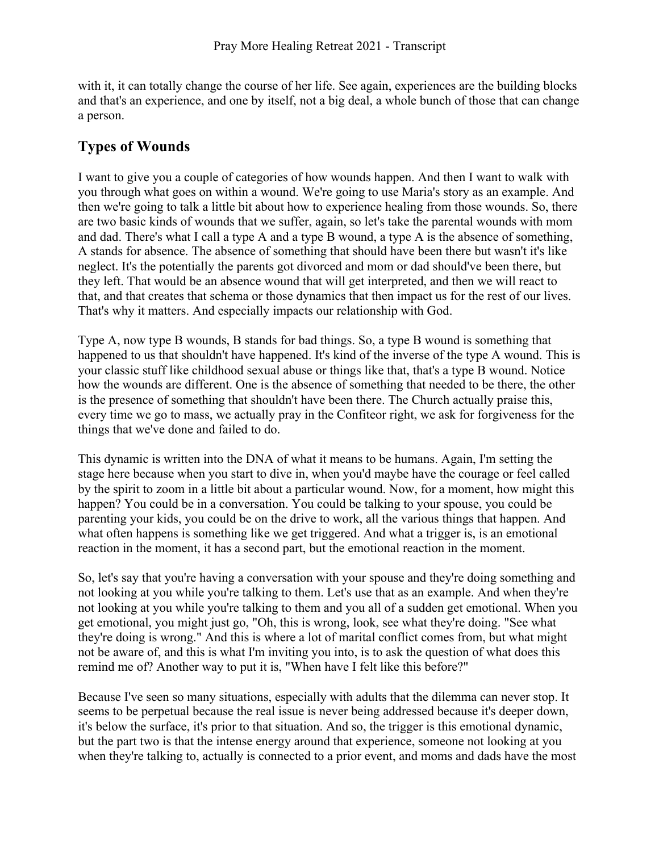with it, it can totally change the course of her life. See again, experiences are the building blocks and that's an experience, and one by itself, not a big deal, a whole bunch of those that can change a person.

# **Types of Wounds**

I want to give you a couple of categories of how wounds happen. And then I want to walk with you through what goes on within a wound. We're going to use Maria's story as an example. And then we're going to talk a little bit about how to experience healing from those wounds. So, there are two basic kinds of wounds that we suffer, again, so let's take the parental wounds with mom and dad. There's what I call a type A and a type B wound, a type A is the absence of something, A stands for absence. The absence of something that should have been there but wasn't it's like neglect. It's the potentially the parents got divorced and mom or dad should've been there, but they left. That would be an absence wound that will get interpreted, and then we will react to that, and that creates that schema or those dynamics that then impact us for the rest of our lives. That's why it matters. And especially impacts our relationship with God.

Type A, now type B wounds, B stands for bad things. So, a type B wound is something that happened to us that shouldn't have happened. It's kind of the inverse of the type A wound. This is your classic stuff like childhood sexual abuse or things like that, that's a type B wound. Notice how the wounds are different. One is the absence of something that needed to be there, the other is the presence of something that shouldn't have been there. The Church actually praise this, every time we go to mass, we actually pray in the Confiteor right, we ask for forgiveness for the things that we've done and failed to do.

This dynamic is written into the DNA of what it means to be humans. Again, I'm setting the stage here because when you start to dive in, when you'd maybe have the courage or feel called by the spirit to zoom in a little bit about a particular wound. Now, for a moment, how might this happen? You could be in a conversation. You could be talking to your spouse, you could be parenting your kids, you could be on the drive to work, all the various things that happen. And what often happens is something like we get triggered. And what a trigger is, is an emotional reaction in the moment, it has a second part, but the emotional reaction in the moment.

So, let's say that you're having a conversation with your spouse and they're doing something and not looking at you while you're talking to them. Let's use that as an example. And when they're not looking at you while you're talking to them and you all of a sudden get emotional. When you get emotional, you might just go, "Oh, this is wrong, look, see what they're doing. "See what they're doing is wrong." And this is where a lot of marital conflict comes from, but what might not be aware of, and this is what I'm inviting you into, is to ask the question of what does this remind me of? Another way to put it is, "When have I felt like this before?"

Because I've seen so many situations, especially with adults that the dilemma can never stop. It seems to be perpetual because the real issue is never being addressed because it's deeper down, it's below the surface, it's prior to that situation. And so, the trigger is this emotional dynamic, but the part two is that the intense energy around that experience, someone not looking at you when they're talking to, actually is connected to a prior event, and moms and dads have the most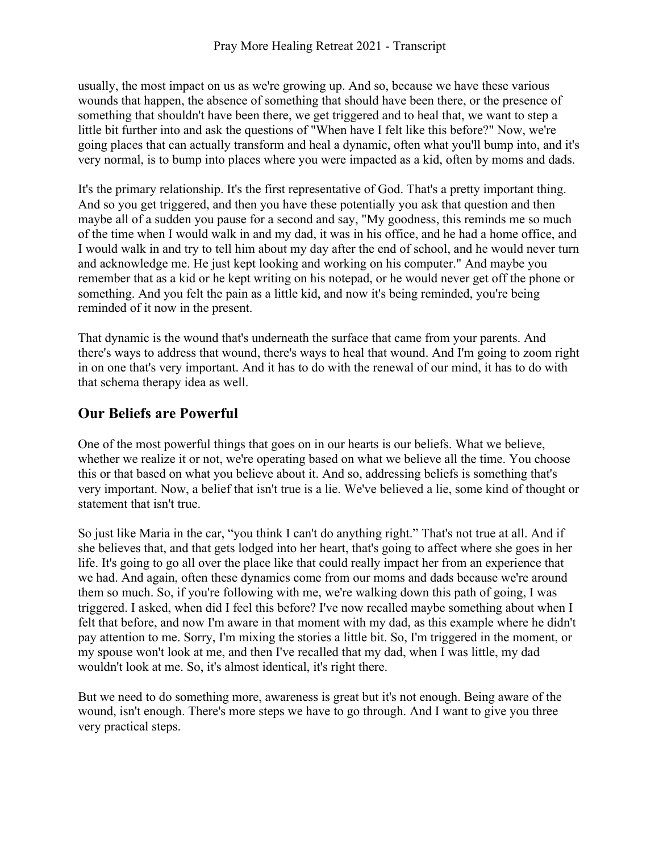usually, the most impact on us as we're growing up. And so, because we have these various wounds that happen, the absence of something that should have been there, or the presence of something that shouldn't have been there, we get triggered and to heal that, we want to step a little bit further into and ask the questions of "When have I felt like this before?" Now, we're going places that can actually transform and heal a dynamic, often what you'll bump into, and it's very normal, is to bump into places where you were impacted as a kid, often by moms and dads.

It's the primary relationship. It's the first representative of God. That's a pretty important thing. And so you get triggered, and then you have these potentially you ask that question and then maybe all of a sudden you pause for a second and say, "My goodness, this reminds me so much of the time when I would walk in and my dad, it was in his office, and he had a home office, and I would walk in and try to tell him about my day after the end of school, and he would never turn and acknowledge me. He just kept looking and working on his computer." And maybe you remember that as a kid or he kept writing on his notepad, or he would never get off the phone or something. And you felt the pain as a little kid, and now it's being reminded, you're being reminded of it now in the present.

That dynamic is the wound that's underneath the surface that came from your parents. And there's ways to address that wound, there's ways to heal that wound. And I'm going to zoom right in on one that's very important. And it has to do with the renewal of our mind, it has to do with that schema therapy idea as well.

#### **Our Beliefs are Powerful**

One of the most powerful things that goes on in our hearts is our beliefs. What we believe, whether we realize it or not, we're operating based on what we believe all the time. You choose this or that based on what you believe about it. And so, addressing beliefs is something that's very important. Now, a belief that isn't true is a lie. We've believed a lie, some kind of thought or statement that isn't true.

So just like Maria in the car, "you think I can't do anything right." That's not true at all. And if she believes that, and that gets lodged into her heart, that's going to affect where she goes in her life. It's going to go all over the place like that could really impact her from an experience that we had. And again, often these dynamics come from our moms and dads because we're around them so much. So, if you're following with me, we're walking down this path of going, I was triggered. I asked, when did I feel this before? I've now recalled maybe something about when I felt that before, and now I'm aware in that moment with my dad, as this example where he didn't pay attention to me. Sorry, I'm mixing the stories a little bit. So, I'm triggered in the moment, or my spouse won't look at me, and then I've recalled that my dad, when I was little, my dad wouldn't look at me. So, it's almost identical, it's right there.

But we need to do something more, awareness is great but it's not enough. Being aware of the wound, isn't enough. There's more steps we have to go through. And I want to give you three very practical steps.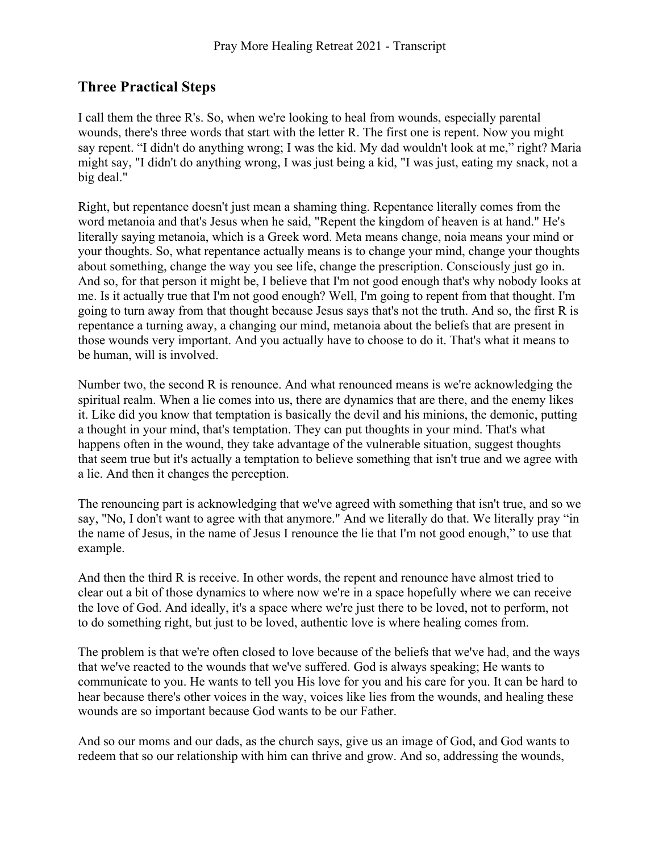#### **Three Practical Steps**

I call them the three R's. So, when we're looking to heal from wounds, especially parental wounds, there's three words that start with the letter R. The first one is repent. Now you might say repent. "I didn't do anything wrong; I was the kid. My dad wouldn't look at me," right? Maria might say, "I didn't do anything wrong, I was just being a kid, "I was just, eating my snack, not a big deal."

Right, but repentance doesn't just mean a shaming thing. Repentance literally comes from the word metanoia and that's Jesus when he said, "Repent the kingdom of heaven is at hand." He's literally saying metanoia, which is a Greek word. Meta means change, noia means your mind or your thoughts. So, what repentance actually means is to change your mind, change your thoughts about something, change the way you see life, change the prescription. Consciously just go in. And so, for that person it might be, I believe that I'm not good enough that's why nobody looks at me. Is it actually true that I'm not good enough? Well, I'm going to repent from that thought. I'm going to turn away from that thought because Jesus says that's not the truth. And so, the first R is repentance a turning away, a changing our mind, metanoia about the beliefs that are present in those wounds very important. And you actually have to choose to do it. That's what it means to be human, will is involved.

Number two, the second R is renounce. And what renounced means is we're acknowledging the spiritual realm. When a lie comes into us, there are dynamics that are there, and the enemy likes it. Like did you know that temptation is basically the devil and his minions, the demonic, putting a thought in your mind, that's temptation. They can put thoughts in your mind. That's what happens often in the wound, they take advantage of the vulnerable situation, suggest thoughts that seem true but it's actually a temptation to believe something that isn't true and we agree with a lie. And then it changes the perception.

The renouncing part is acknowledging that we've agreed with something that isn't true, and so we say, "No, I don't want to agree with that anymore." And we literally do that. We literally pray "in the name of Jesus, in the name of Jesus I renounce the lie that I'm not good enough," to use that example.

And then the third R is receive. In other words, the repent and renounce have almost tried to clear out a bit of those dynamics to where now we're in a space hopefully where we can receive the love of God. And ideally, it's a space where we're just there to be loved, not to perform, not to do something right, but just to be loved, authentic love is where healing comes from.

The problem is that we're often closed to love because of the beliefs that we've had, and the ways that we've reacted to the wounds that we've suffered. God is always speaking; He wants to communicate to you. He wants to tell you His love for you and his care for you. It can be hard to hear because there's other voices in the way, voices like lies from the wounds, and healing these wounds are so important because God wants to be our Father.

And so our moms and our dads, as the church says, give us an image of God, and God wants to redeem that so our relationship with him can thrive and grow. And so, addressing the wounds,